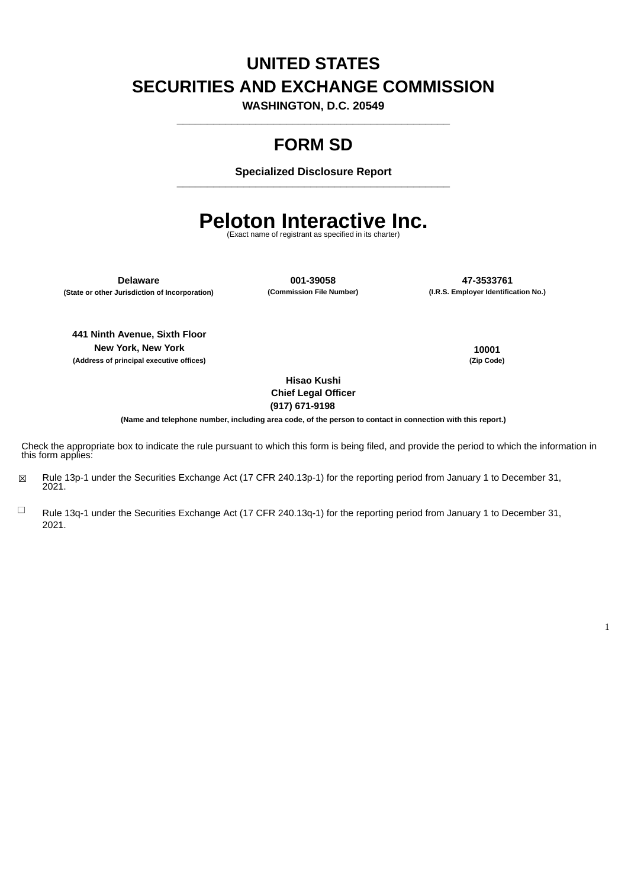# **UNITED STATES SECURITIES AND EXCHANGE COMMISSION**

**WASHINGTON, D.C. 20549 \_\_\_\_\_\_\_\_\_\_\_\_\_\_\_\_\_\_\_\_\_\_\_\_\_\_\_\_\_\_\_\_\_\_\_\_\_\_\_\_\_\_\_\_\_**

# **FORM SD**

**Specialized Disclosure Report \_\_\_\_\_\_\_\_\_\_\_\_\_\_\_\_\_\_\_\_\_\_\_\_\_\_\_\_\_\_\_\_\_\_\_\_\_\_\_\_\_\_\_\_\_**

# **Peloton Interactive Inc.**

(Exact name of registrant as specified in its charter)

**(State or other Jurisdiction of Incorporation)** 

**Delaware 001-39058 47-3533761**

**441 Ninth Avenue, Sixth Floor New York, New York 10001 (Address of principal executive offices) (Zip Code)**

1

**Hisao Kushi Chief Legal Officer (917) 671-9198**

(Name and telephone number, including area code, of the person to contact in connection with this report.)

Check the appropriate box to indicate the rule pursuant to which this form is being filed, and provide the period to which the information in this form applies:

- ☒ Rule 13p-1 under the Securities Exchange Act (17 CFR 240.13p-1) for the reporting period from January 1 to December 31, 2021.
- $\Box$ Rule 13q-1 under the Securities Exchange Act (17 CFR 240.13q-1) for the reporting period from January 1 to December 31, 2021.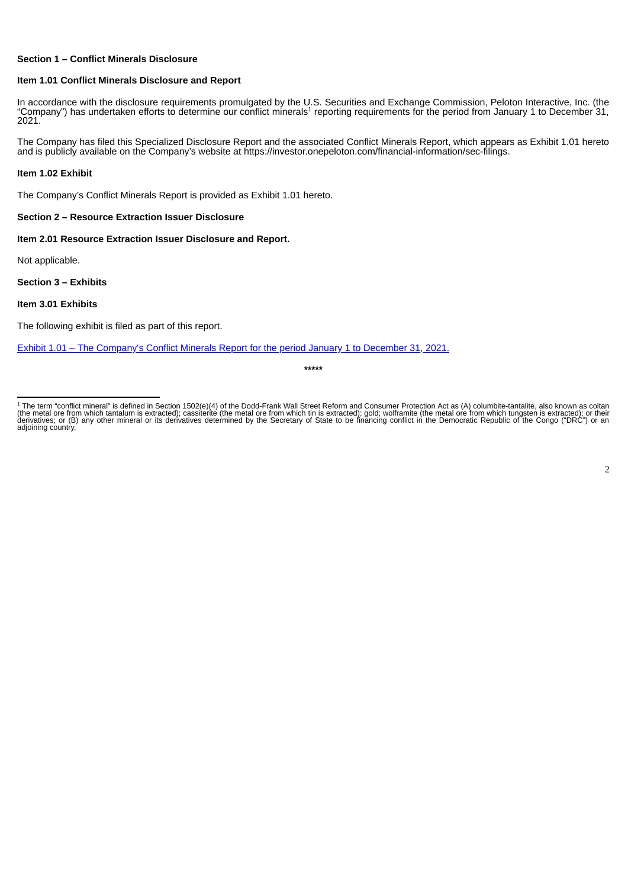#### **Section 1 – Conflict Minerals Disclosure**

#### **Item 1.01 Conflict Minerals Disclosure and Report**

In accordance with the disclosure requirements promulgated by the U.S. Securities and Exchange Commission, Peloton Interactive, Inc. (the "Company") has undertaken efforts to determine our conflict minerals<sup>1</sup> reporting requirements for the period from January 1 to December 31, 2021.

The Company has filed this Specialized Disclosure Report and the associated Conflict Minerals Report, which appears as Exhibit 1.01 hereto and is publicly available on the Company's website at https://investor.onepeloton.com/financial-information/sec-filings.

#### **Item 1.02 Exhibit**

The Company's Conflict Minerals Report is provided as Exhibit 1.01 hereto.

#### **Section 2 – Resource Extraction Issuer Disclosure**

**Item 2.01 Resource Extraction Issuer Disclosure and Report.**

Not applicable.

#### **Section 3 – Exhibits**

#### **Item 3.01 Exhibits**

The following exhibit is filed as part of this report.

[Exhibit](#page-3-0) 1.01 – The [Company](#page-3-0)'s Conflict Minerals Report for the period January 1 to [December](#page-3-0) 31, 2021.

**\*\*\*\*\***

<sup>&</sup>lt;sup>1</sup> The term "conflict mineral" is defined in Section 1502(e)(4) of the Dodd-Frank Wall Street Reform and Consumer Protection Act as (A) columbite-tantalite, also known as coltan<br>(the metal ore from which tantalum is extra adjoining country. 1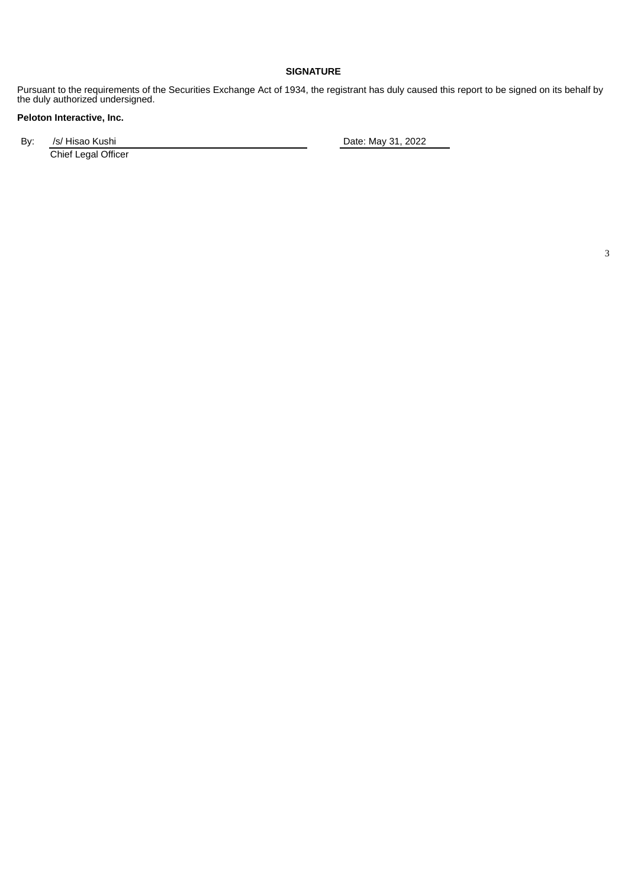### **SIGNATURE**

Pursuant to the requirements of the Securities Exchange Act of 1934, the registrant has duly caused this report to be signed on its behalf by the duly authorized undersigned.

# **Peloton Interactive, Inc.**

By: /s/ Hisao Kushi **Date:** May 31, 2022 Chief Legal Officer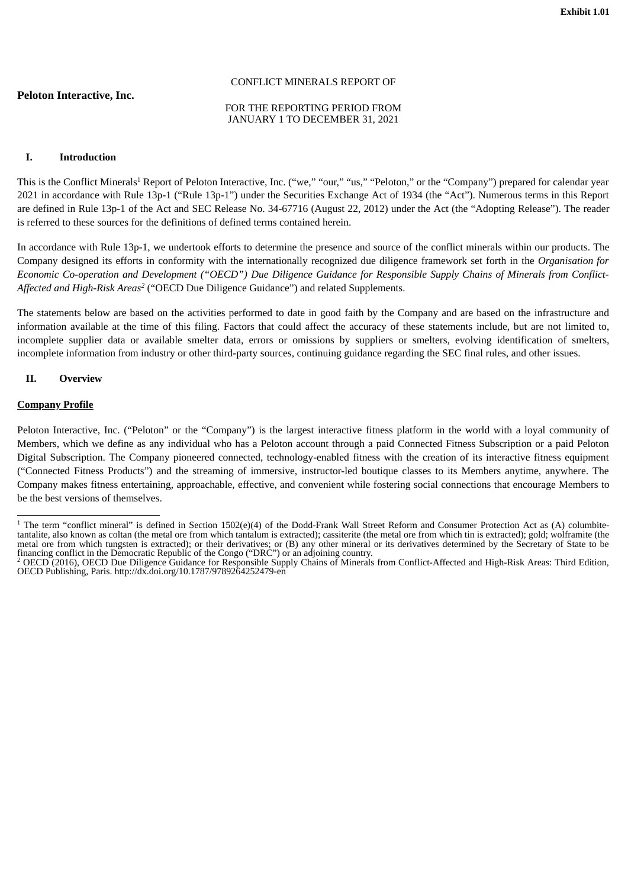## <span id="page-3-0"></span>**Peloton Interactive, Inc.**

#### CONFLICT MINERALS REPORT OF

#### FOR THE REPORTING PERIOD FROM JANUARY 1 TO DECEMBER 31, 2021

#### **I. Introduction**

This is the Conflict Minerals<sup>1</sup> Report of Peloton Interactive, Inc. ("we," "our," "us," "Peloton," or the "Company") prepared for calendar year 2021 in accordance with Rule 13p-1 ("Rule 13p-1") under the Securities Exchange Act of 1934 (the "Act"). Numerous terms in this Report are defined in Rule 13p-1 of the Act and SEC Release No. 34-67716 (August 22, 2012) under the Act (the "Adopting Release"). The reader is referred to these sources for the definitions of defined terms contained herein.

In accordance with Rule 13p-1, we undertook efforts to determine the presence and source of the conflict minerals within our products. The Company designed its efforts in conformity with the internationally recognized due diligence framework set forth in the *Organisation for* Economic Co-operation and Development ("OECD") Due Diligence Guidance for Responsible Supply Chains of Minerals from Conflict-*Affected and High-Risk Areas* ("OECD Due Diligence Guidance") and related Supplements. *2*

The statements below are based on the activities performed to date in good faith by the Company and are based on the infrastructure and information available at the time of this filing. Factors that could affect the accuracy of these statements include, but are not limited to, incomplete supplier data or available smelter data, errors or omissions by suppliers or smelters, evolving identification of smelters, incomplete information from industry or other third-party sources, continuing guidance regarding the SEC final rules, and other issues.

#### **II. Overview**

#### **Company Profile**

Peloton Interactive, Inc. ("Peloton" or the "Company") is the largest interactive fitness platform in the world with a loyal community of Members, which we define as any individual who has a Peloton account through a paid Connected Fitness Subscription or a paid Peloton Digital Subscription. The Company pioneered connected, technology-enabled fitness with the creation of its interactive fitness equipment ("Connected Fitness Products") and the streaming of immersive, instructor-led boutique classes to its Members anytime, anywhere. The Company makes fitness entertaining, approachable, effective, and convenient while fostering social connections that encourage Members to be the best versions of themselves.

<sup>&</sup>lt;sup>1</sup> The term "conflict mineral" is defined in Section 1502(e)(4) of the Dodd-Frank Wall Street Reform and Consumer Protection Act as (A) columbitetantalite, also known as coltan (the metal ore from which tantalum is extracted); cassiterite (the metal ore from which tin is extracted); gold; wolframite (the metal ore from which tungsten is extracted); or their derivatives; or (B) any other mineral or its derivatives determined by the Secretary of State to be financing conflict in the Democratic Republic of the Congo ("DRC") or an adjoining country.

<sup>&</sup>lt;sup>2</sup> OECD (2016), OECD Due Diligence Guidance for Responsible Supply Chains of Minerals from Conflict-Affected and High-Risk Areas: Third Edition, OECD Publishing, Paris. http://dx.doi.org/10.1787/9789264252479-en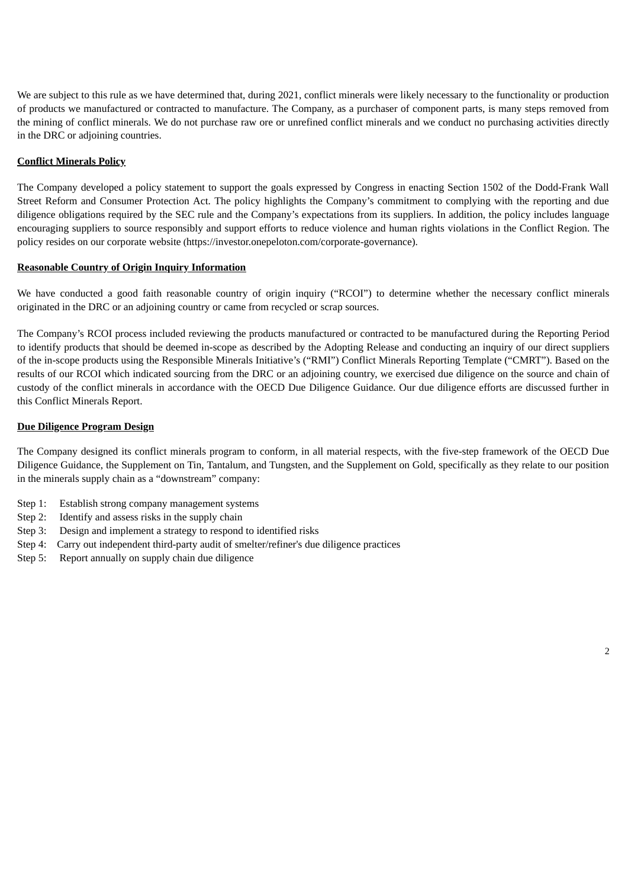We are subject to this rule as we have determined that, during 2021, conflict minerals were likely necessary to the functionality or production of products we manufactured or contracted to manufacture. The Company, as a purchaser of component parts, is many steps removed from the mining of conflict minerals. We do not purchase raw ore or unrefined conflict minerals and we conduct no purchasing activities directly in the DRC or adjoining countries.

### **Conflict Minerals Policy**

The Company developed a policy statement to support the goals expressed by Congress in enacting Section 1502 of the Dodd-Frank Wall Street Reform and Consumer Protection Act. The policy highlights the Company's commitment to complying with the reporting and due diligence obligations required by the SEC rule and the Company's expectations from its suppliers. In addition, the policy includes language encouraging suppliers to source responsibly and support efforts to reduce violence and human rights violations in the Conflict Region. The policy resides on our corporate website (https://investor.onepeloton.com/corporate-governance).

#### **Reasonable Country of Origin Inquiry Information**

We have conducted a good faith reasonable country of origin inquiry ("RCOI") to determine whether the necessary conflict minerals originated in the DRC or an adjoining country or came from recycled or scrap sources.

The Company's RCOI process included reviewing the products manufactured or contracted to be manufactured during the Reporting Period to identify products that should be deemed in-scope as described by the Adopting Release and conducting an inquiry of our direct suppliers of the in-scope products using the Responsible Minerals Initiative's ("RMI") Conflict Minerals Reporting Template ("CMRT"). Based on the results of our RCOI which indicated sourcing from the DRC or an adjoining country, we exercised due diligence on the source and chain of custody of the conflict minerals in accordance with the OECD Due Diligence Guidance. Our due diligence efforts are discussed further in this Conflict Minerals Report.

#### **Due Diligence Program Design**

The Company designed its conflict minerals program to conform, in all material respects, with the five-step framework of the OECD Due Diligence Guidance, the Supplement on Tin, Tantalum, and Tungsten, and the Supplement on Gold, specifically as they relate to our position in the minerals supply chain as a "downstream" company:

- Step 1: Establish strong company management systems
- Step 2: Identify and assess risks in the supply chain
- Step 3: Design and implement a strategy to respond to identified risks
- Step 4: Carry out independent third-party audit of smelter/refiner's due diligence practices
- Step 5: Report annually on supply chain due diligence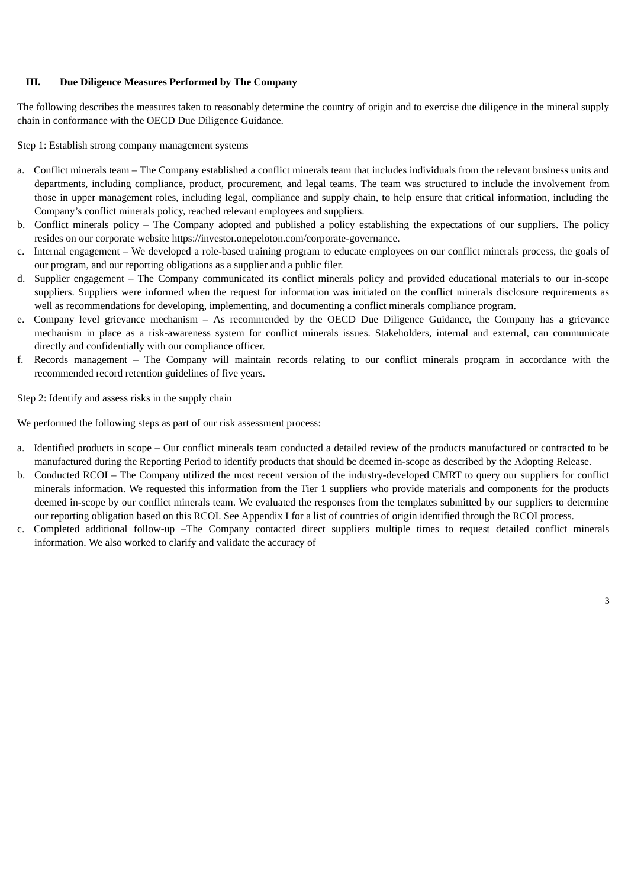#### **III. Due Diligence Measures Performed by The Company**

The following describes the measures taken to reasonably determine the country of origin and to exercise due diligence in the mineral supply chain in conformance with the OECD Due Diligence Guidance.

Step 1: Establish strong company management systems

- a. Conflict minerals team The Company established a conflict minerals team that includes individuals from the relevant business units and departments, including compliance, product, procurement, and legal teams. The team was structured to include the involvement from those in upper management roles, including legal, compliance and supply chain, to help ensure that critical information, including the Company's conflict minerals policy, reached relevant employees and suppliers.
- b. Conflict minerals policy The Company adopted and published a policy establishing the expectations of our suppliers. The policy resides on our corporate website https://investor.onepeloton.com/corporate-governance.
- c. Internal engagement We developed a role-based training program to educate employees on our conflict minerals process, the goals of our program, and our reporting obligations as a supplier and a public filer.
- d. Supplier engagement The Company communicated its conflict minerals policy and provided educational materials to our in-scope suppliers. Suppliers were informed when the request for information was initiated on the conflict minerals disclosure requirements as well as recommendations for developing, implementing, and documenting a conflict minerals compliance program.
- e. Company level grievance mechanism As recommended by the OECD Due Diligence Guidance, the Company has a grievance mechanism in place as a risk-awareness system for conflict minerals issues. Stakeholders, internal and external, can communicate directly and confidentially with our compliance officer.
- f. Records management The Company will maintain records relating to our conflict minerals program in accordance with the recommended record retention guidelines of five years.

Step 2: Identify and assess risks in the supply chain

We performed the following steps as part of our risk assessment process:

- a. Identified products in scope Our conflict minerals team conducted a detailed review of the products manufactured or contracted to be manufactured during the Reporting Period to identify products that should be deemed in-scope as described by the Adopting Release.
- b. Conducted RCOI The Company utilized the most recent version of the industry-developed CMRT to query our suppliers for conflict minerals information. We requested this information from the Tier 1 suppliers who provide materials and components for the products deemed in-scope by our conflict minerals team. We evaluated the responses from the templates submitted by our suppliers to determine our reporting obligation based on this RCOI. See Appendix I for a list of countries of origin identified through the RCOI process.
- c. Completed additional follow-up –The Company contacted direct suppliers multiple times to request detailed conflict minerals information. We also worked to clarify and validate the accuracy of

3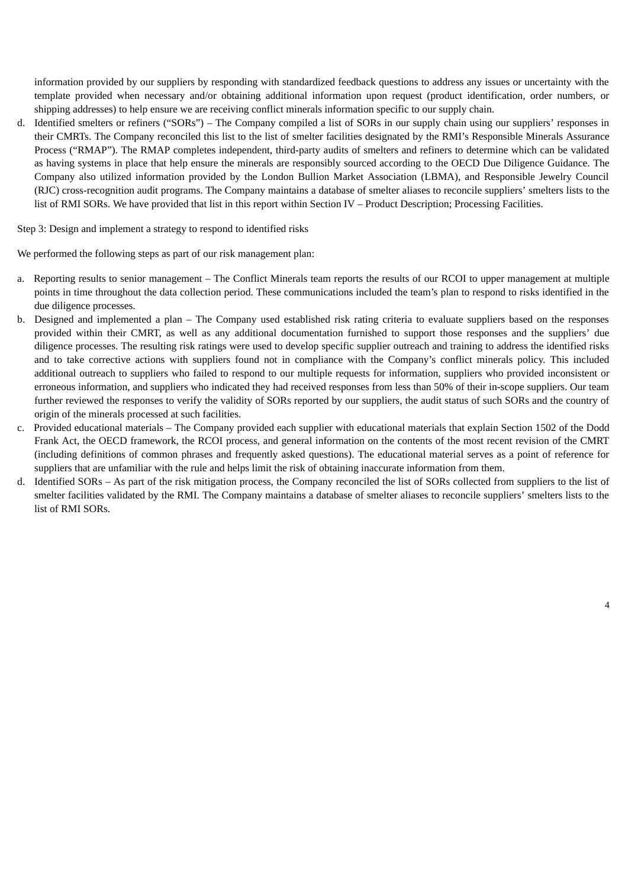information provided by our suppliers by responding with standardized feedback questions to address any issues or uncertainty with the template provided when necessary and/or obtaining additional information upon request (product identification, order numbers, or shipping addresses) to help ensure we are receiving conflict minerals information specific to our supply chain.

d. Identified smelters or refiners ("SORs") – The Company compiled a list of SORs in our supply chain using our suppliers' responses in their CMRTs. The Company reconciled this list to the list of smelter facilities designated by the RMI's Responsible Minerals Assurance Process ("RMAP"). The RMAP completes independent, third-party audits of smelters and refiners to determine which can be validated as having systems in place that help ensure the minerals are responsibly sourced according to the OECD Due Diligence Guidance. The Company also utilized information provided by the London Bullion Market Association (LBMA), and Responsible Jewelry Council (RJC) cross-recognition audit programs. The Company maintains a database of smelter aliases to reconcile suppliers' smelters lists to the list of RMI SORs. We have provided that list in this report within Section IV – Product Description; Processing Facilities.

Step 3: Design and implement a strategy to respond to identified risks

We performed the following steps as part of our risk management plan:

- a. Reporting results to senior management The Conflict Minerals team reports the results of our RCOI to upper management at multiple points in time throughout the data collection period. These communications included the team's plan to respond to risks identified in the due diligence processes.
- b. Designed and implemented a plan The Company used established risk rating criteria to evaluate suppliers based on the responses provided within their CMRT, as well as any additional documentation furnished to support those responses and the suppliers' due diligence processes. The resulting risk ratings were used to develop specific supplier outreach and training to address the identified risks and to take corrective actions with suppliers found not in compliance with the Company's conflict minerals policy. This included additional outreach to suppliers who failed to respond to our multiple requests for information, suppliers who provided inconsistent or erroneous information, and suppliers who indicated they had received responses from less than 50% of their in-scope suppliers. Our team further reviewed the responses to verify the validity of SORs reported by our suppliers, the audit status of such SORs and the country of origin of the minerals processed at such facilities.
- c. Provided educational materials The Company provided each supplier with educational materials that explain Section 1502 of the Dodd Frank Act, the OECD framework, the RCOI process, and general information on the contents of the most recent revision of the CMRT (including definitions of common phrases and frequently asked questions). The educational material serves as a point of reference for suppliers that are unfamiliar with the rule and helps limit the risk of obtaining inaccurate information from them.
- d. Identified SORs As part of the risk mitigation process, the Company reconciled the list of SORs collected from suppliers to the list of smelter facilities validated by the RMI. The Company maintains a database of smelter aliases to reconcile suppliers' smelters lists to the list of RMI SORs.

4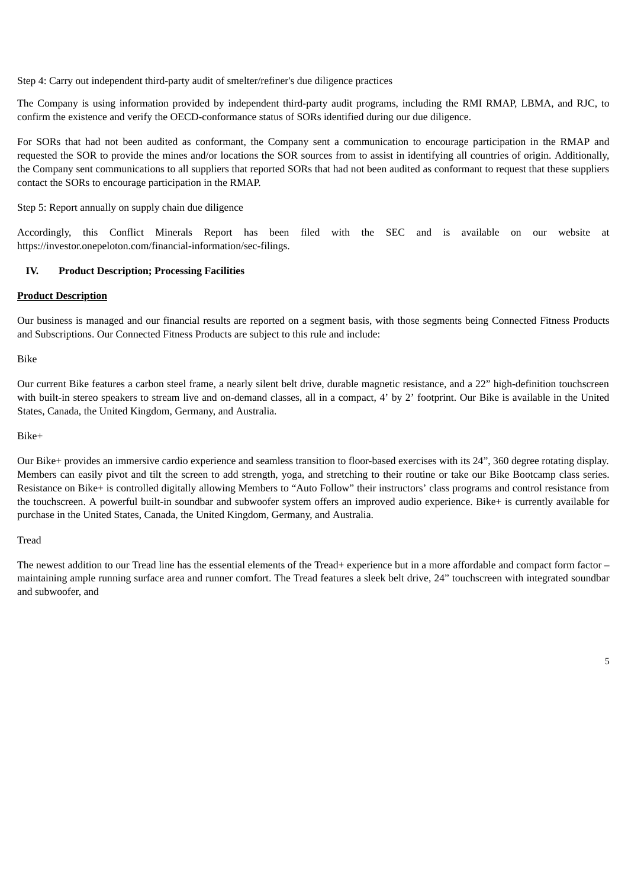Step 4: Carry out independent third-party audit of smelter/refiner's due diligence practices

The Company is using information provided by independent third-party audit programs, including the RMI RMAP, LBMA, and RJC, to confirm the existence and verify the OECD-conformance status of SORs identified during our due diligence.

For SORs that had not been audited as conformant, the Company sent a communication to encourage participation in the RMAP and requested the SOR to provide the mines and/or locations the SOR sources from to assist in identifying all countries of origin. Additionally, the Company sent communications to all suppliers that reported SORs that had not been audited as conformant to request that these suppliers contact the SORs to encourage participation in the RMAP.

Step 5: Report annually on supply chain due diligence

Accordingly, this Conflict Minerals Report has been filed with the SEC and is available on our website at https://investor.onepeloton.com/financial-information/sec-filings.

#### **IV. Product Description; Processing Facilities**

#### **Product Description**

Our business is managed and our financial results are reported on a segment basis, with those segments being Connected Fitness Products and Subscriptions. Our Connected Fitness Products are subject to this rule and include:

Bike

Our current Bike features a carbon steel frame, a nearly silent belt drive, durable magnetic resistance, and a 22" high-definition touchscreen with built-in stereo speakers to stream live and on-demand classes, all in a compact, 4' by 2' footprint. Our Bike is available in the United States, Canada, the United Kingdom, Germany, and Australia.

Bike+

Our Bike+ provides an immersive cardio experience and seamless transition to floor-based exercises with its 24", 360 degree rotating display. Members can easily pivot and tilt the screen to add strength, yoga, and stretching to their routine or take our Bike Bootcamp class series. Resistance on Bike+ is controlled digitally allowing Members to "Auto Follow" their instructors' class programs and control resistance from the touchscreen. A powerful built-in soundbar and subwoofer system offers an improved audio experience. Bike+ is currently available for purchase in the United States, Canada, the United Kingdom, Germany, and Australia.

Tread

The newest addition to our Tread line has the essential elements of the Tread+ experience but in a more affordable and compact form factor – maintaining ample running surface area and runner comfort. The Tread features a sleek belt drive, 24" touchscreen with integrated soundbar and subwoofer, and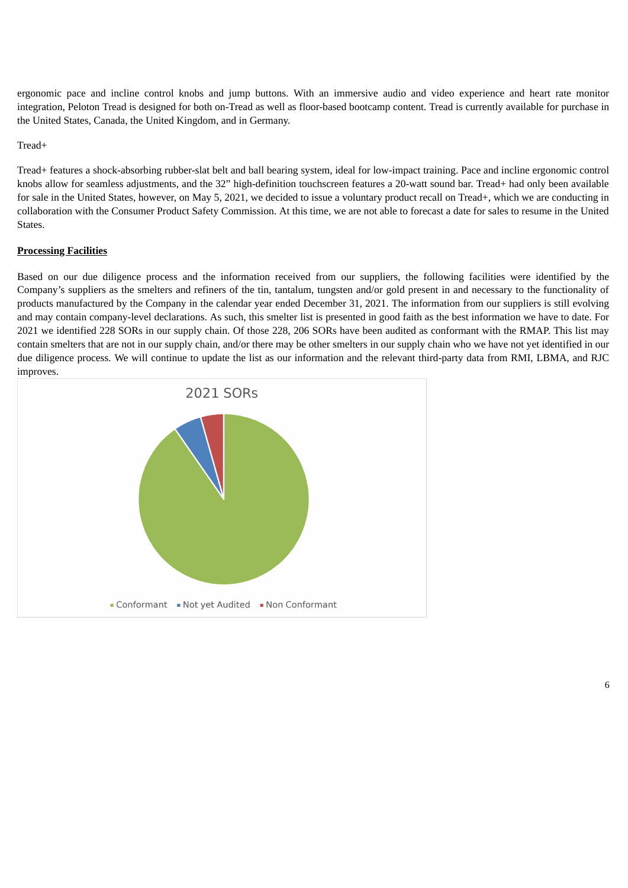ergonomic pace and incline control knobs and jump buttons. With an immersive audio and video experience and heart rate monitor integration, Peloton Tread is designed for both on-Tread as well as floor-based bootcamp content. Tread is currently available for purchase in the United States, Canada, the United Kingdom, and in Germany.

### Tread+

Tread+ features a shock-absorbing rubber-slat belt and ball bearing system, ideal for low-impact training. Pace and incline ergonomic control knobs allow for seamless adjustments, and the 32" high-definition touchscreen features a 20-watt sound bar. Tread+ had only been available for sale in the United States, however, on May 5, 2021, we decided to issue a voluntary product recall on Tread+, which we are conducting in collaboration with the Consumer Product Safety Commission. At this time, we are not able to forecast a date for sales to resume in the United States.

# **Processing Facilities**

Based on our due diligence process and the information received from our suppliers, the following facilities were identified by the Company's suppliers as the smelters and refiners of the tin, tantalum, tungsten and/or gold present in and necessary to the functionality of products manufactured by the Company in the calendar year ended December 31, 2021. The information from our suppliers is still evolving and may contain company-level declarations. As such, this smelter list is presented in good faith as the best information we have to date. For 2021 we identified 228 SORs in our supply chain. Of those 228, 206 SORs have been audited as conformant with the RMAP. This list may contain smelters that are not in our supply chain, and/or there may be other smelters in our supply chain who we have not yet identified in our due diligence process. We will continue to update the list as our information and the relevant third-party data from RMI, LBMA, and RJC improves.

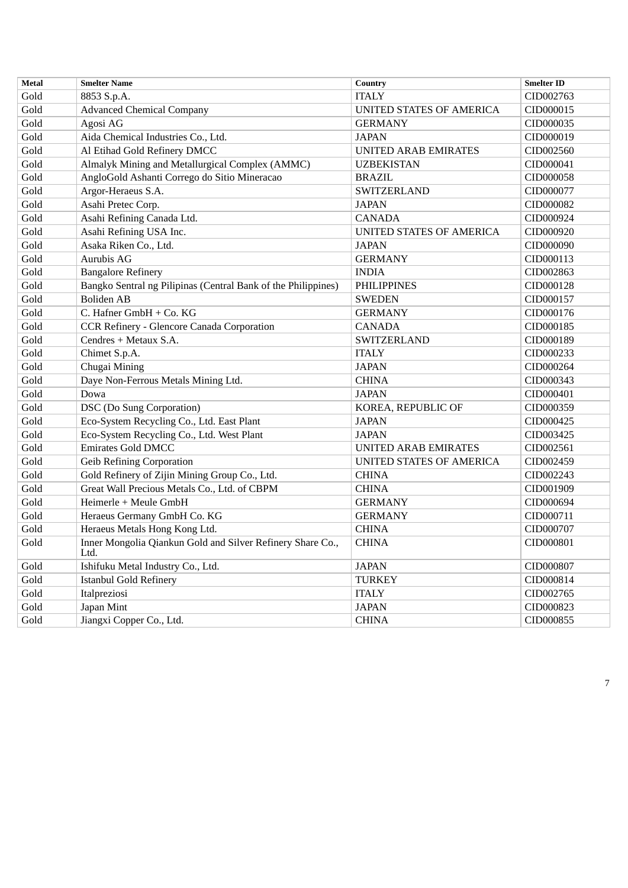| <b>Metal</b> | <b>Smelter Name</b>                                                | <b>Country</b>                  | <b>Smelter ID</b> |
|--------------|--------------------------------------------------------------------|---------------------------------|-------------------|
| Gold         | 8853 S.p.A.                                                        | <b>ITALY</b>                    | CID002763         |
| Gold         | <b>Advanced Chemical Company</b>                                   | UNITED STATES OF AMERICA        | CID000015         |
| Gold         | Agosi AG                                                           | <b>GERMANY</b>                  | CID000035         |
| Gold         | Aida Chemical Industries Co., Ltd.                                 | <b>JAPAN</b>                    | CID000019         |
| Gold         | Al Etihad Gold Refinery DMCC                                       | UNITED ARAB EMIRATES            | CID002560         |
| Gold         | Almalyk Mining and Metallurgical Complex (AMMC)                    | <b>UZBEKISTAN</b>               | CID000041         |
| Gold         | AngloGold Ashanti Corrego do Sitio Mineracao                       | <b>BRAZIL</b>                   | CID000058         |
| Gold         | Argor-Heraeus S.A.                                                 | SWITZERLAND                     | CID000077         |
| Gold         | Asahi Pretec Corp.                                                 | <b>JAPAN</b>                    | CID000082         |
| Gold         | Asahi Refining Canada Ltd.                                         | <b>CANADA</b>                   | CID000924         |
| Gold         | Asahi Refining USA Inc.                                            | <b>UNITED STATES OF AMERICA</b> | CID000920         |
| Gold         | Asaka Riken Co., Ltd.                                              | <b>JAPAN</b>                    | CID000090         |
| Gold         | Aurubis AG                                                         | <b>GERMANY</b>                  | CID000113         |
| Gold         | <b>Bangalore Refinery</b>                                          | <b>INDIA</b>                    | CID002863         |
| Gold         | Bangko Sentral ng Pilipinas (Central Bank of the Philippines)      | <b>PHILIPPINES</b>              | CID000128         |
| Gold         | <b>Boliden AB</b>                                                  | <b>SWEDEN</b>                   | CID000157         |
| Gold         | C. Hafner GmbH + Co. KG                                            | <b>GERMANY</b>                  | CID000176         |
| Gold         | CCR Refinery - Glencore Canada Corporation                         | <b>CANADA</b>                   | CID000185         |
| Gold         | Cendres + Metaux S.A.                                              | SWITZERLAND                     | CID000189         |
| Gold         | Chimet S.p.A.                                                      | <b>ITALY</b>                    | CID000233         |
| Gold         | Chugai Mining                                                      | <b>JAPAN</b>                    | CID000264         |
| Gold         | Daye Non-Ferrous Metals Mining Ltd.                                | <b>CHINA</b>                    | CID000343         |
| Gold         | Dowa                                                               | <b>JAPAN</b>                    | CID000401         |
| Gold         | <b>DSC</b> (Do Sung Corporation)                                   | KOREA, REPUBLIC OF              | CID000359         |
| Gold         | Eco-System Recycling Co., Ltd. East Plant                          | <b>JAPAN</b>                    | CID000425         |
| Gold         | Eco-System Recycling Co., Ltd. West Plant                          | <b>JAPAN</b>                    | CID003425         |
| Gold         | <b>Emirates Gold DMCC</b>                                          | <b>UNITED ARAB EMIRATES</b>     | CID002561         |
| Gold         | <b>Geib Refining Corporation</b>                                   | UNITED STATES OF AMERICA        | CID002459         |
| Gold         | Gold Refinery of Zijin Mining Group Co., Ltd.                      | <b>CHINA</b>                    | CID002243         |
| Gold         | Great Wall Precious Metals Co., Ltd. of CBPM                       | <b>CHINA</b>                    | CID001909         |
| Gold         | Heimerle + Meule GmbH                                              | <b>GERMANY</b>                  | CID000694         |
| Gold         | Heraeus Germany GmbH Co. KG                                        | <b>GERMANY</b>                  | CID000711         |
| Gold         | Heraeus Metals Hong Kong Ltd.                                      | <b>CHINA</b>                    | CID000707         |
| Gold         | Inner Mongolia Qiankun Gold and Silver Refinery Share Co.,<br>Ltd. | <b>CHINA</b>                    | CID000801         |
| Gold         | Ishifuku Metal Industry Co., Ltd.                                  | <b>JAPAN</b>                    | CID000807         |
| Gold         | <b>Istanbul Gold Refinery</b>                                      | <b>TURKEY</b>                   | CID000814         |
| Gold         | Italpreziosi                                                       | <b>ITALY</b>                    | CID002765         |
| Gold         | Japan Mint                                                         | <b>JAPAN</b>                    | CID000823         |
| Gold         | Jiangxi Copper Co., Ltd.                                           | <b>CHINA</b>                    | CID000855         |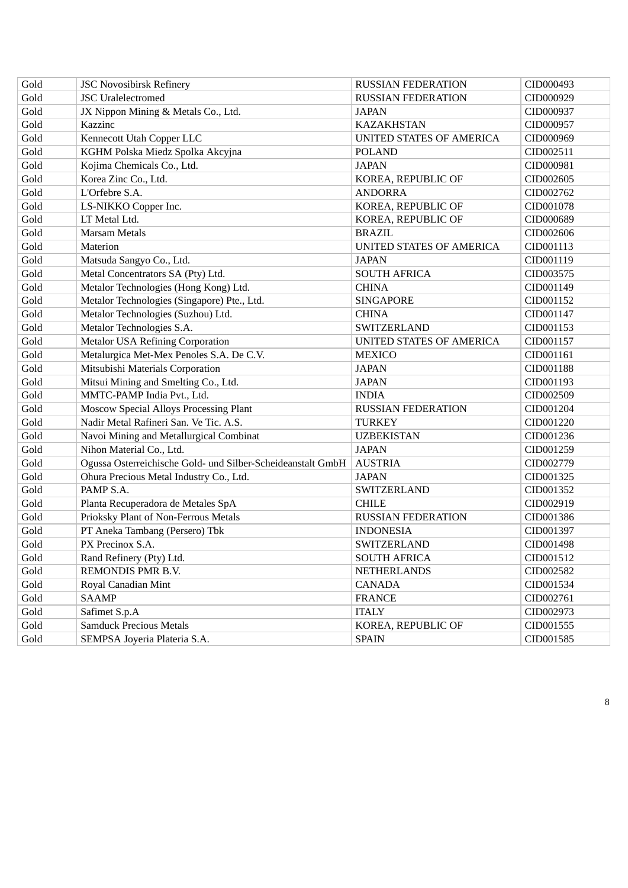| Gold | <b>JSC Novosibirsk Refinery</b>                             | <b>RUSSIAN FEDERATION</b> | CID000493 |
|------|-------------------------------------------------------------|---------------------------|-----------|
| Gold | <b>JSC</b> Uralelectromed                                   | <b>RUSSIAN FEDERATION</b> | CID000929 |
| Gold | JX Nippon Mining & Metals Co., Ltd.                         | <b>JAPAN</b>              | CID000937 |
| Gold | Kazzinc                                                     | <b>KAZAKHSTAN</b>         | CID000957 |
| Gold | Kennecott Utah Copper LLC                                   | UNITED STATES OF AMERICA  | CID000969 |
| Gold | KGHM Polska Miedz Spolka Akcyjna                            | <b>POLAND</b>             | CID002511 |
| Gold | Kojima Chemicals Co., Ltd.                                  | <b>JAPAN</b>              | CID000981 |
| Gold | Korea Zinc Co., Ltd.                                        | KOREA, REPUBLIC OF        | CID002605 |
| Gold | L'Orfebre S.A.                                              | <b>ANDORRA</b>            | CID002762 |
| Gold | LS-NIKKO Copper Inc.                                        | KOREA, REPUBLIC OF        | CID001078 |
| Gold | LT Metal Ltd.                                               | KOREA, REPUBLIC OF        | CID000689 |
| Gold | <b>Marsam Metals</b>                                        | <b>BRAZIL</b>             | CID002606 |
| Gold | Materion                                                    | UNITED STATES OF AMERICA  | CID001113 |
| Gold | Matsuda Sangyo Co., Ltd.                                    | <b>JAPAN</b>              | CID001119 |
| Gold | Metal Concentrators SA (Pty) Ltd.                           | <b>SOUTH AFRICA</b>       | CID003575 |
| Gold | Metalor Technologies (Hong Kong) Ltd.                       | <b>CHINA</b>              | CID001149 |
| Gold | Metalor Technologies (Singapore) Pte., Ltd.                 | <b>SINGAPORE</b>          | CID001152 |
| Gold | Metalor Technologies (Suzhou) Ltd.                          | <b>CHINA</b>              | CID001147 |
| Gold | Metalor Technologies S.A.                                   | SWITZERLAND               | CID001153 |
| Gold | <b>Metalor USA Refining Corporation</b>                     | UNITED STATES OF AMERICA  | CID001157 |
| Gold | Metalurgica Met-Mex Penoles S.A. De C.V.                    | <b>MEXICO</b>             | CID001161 |
| Gold | Mitsubishi Materials Corporation                            | <b>JAPAN</b>              | CID001188 |
| Gold | Mitsui Mining and Smelting Co., Ltd.                        | <b>JAPAN</b>              | CID001193 |
| Gold | MMTC-PAMP India Pvt., Ltd.                                  | <b>INDIA</b>              | CID002509 |
| Gold | Moscow Special Alloys Processing Plant                      | <b>RUSSIAN FEDERATION</b> | CID001204 |
| Gold | Nadir Metal Rafineri San. Ve Tic. A.S.                      | <b>TURKEY</b>             | CID001220 |
| Gold | Navoi Mining and Metallurgical Combinat                     | <b>UZBEKISTAN</b>         | CID001236 |
| Gold | Nihon Material Co., Ltd.                                    | <b>JAPAN</b>              | CID001259 |
| Gold | Ogussa Osterreichische Gold- und Silber-Scheideanstalt GmbH | <b>AUSTRIA</b>            | CID002779 |
| Gold | Ohura Precious Metal Industry Co., Ltd.                     | <b>JAPAN</b>              | CID001325 |
| Gold | PAMP S.A.                                                   | SWITZERLAND               | CID001352 |
| Gold | Planta Recuperadora de Metales SpA                          | <b>CHILE</b>              | CID002919 |
| Gold | Prioksky Plant of Non-Ferrous Metals                        | <b>RUSSIAN FEDERATION</b> | CID001386 |
| Gold | PT Aneka Tambang (Persero) Tbk                              | <b>INDONESIA</b>          | CID001397 |
| Gold | PX Precinox S.A.                                            | SWITZERLAND               | CID001498 |
| Gold | Rand Refinery (Pty) Ltd.                                    | <b>SOUTH AFRICA</b>       | CID001512 |
| Gold | REMONDIS PMR B.V.                                           | <b>NETHERLANDS</b>        | CID002582 |
| Gold | Royal Canadian Mint                                         | <b>CANADA</b>             | CID001534 |
| Gold | <b>SAAMP</b>                                                | <b>FRANCE</b>             | CID002761 |
| Gold | Safimet S.p.A                                               | <b>ITALY</b>              | CID002973 |
| Gold | <b>Samduck Precious Metals</b>                              | KOREA, REPUBLIC OF        | CID001555 |
| Gold | SEMPSA Joyeria Plateria S.A.                                | <b>SPAIN</b>              | CID001585 |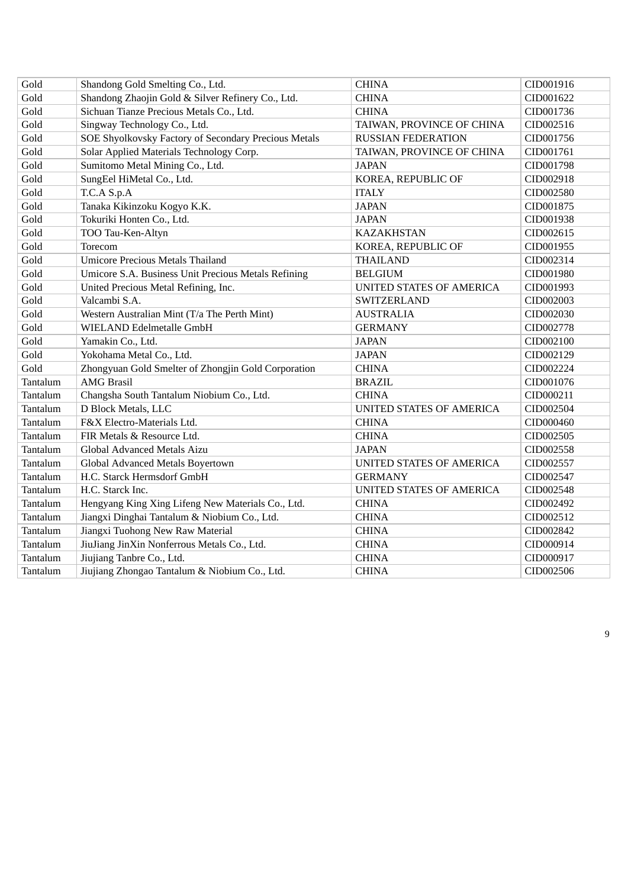| Gold     | Shandong Gold Smelting Co., Ltd.                     | <b>CHINA</b>              | CID001916 |
|----------|------------------------------------------------------|---------------------------|-----------|
| Gold     | Shandong Zhaojin Gold & Silver Refinery Co., Ltd.    | <b>CHINA</b>              | CID001622 |
| Gold     | Sichuan Tianze Precious Metals Co., Ltd.             | <b>CHINA</b>              | CID001736 |
| Gold     | Singway Technology Co., Ltd.                         | TAIWAN, PROVINCE OF CHINA | CID002516 |
| Gold     | SOE Shyolkovsky Factory of Secondary Precious Metals | <b>RUSSIAN FEDERATION</b> | CID001756 |
| Gold     | Solar Applied Materials Technology Corp.             | TAIWAN, PROVINCE OF CHINA | CID001761 |
| Gold     | Sumitomo Metal Mining Co., Ltd.                      | <b>JAPAN</b>              | CID001798 |
| Gold     | SungEel HiMetal Co., Ltd.                            | KOREA, REPUBLIC OF        | CID002918 |
| Gold     | T.C.A S.p.A                                          | <b>ITALY</b>              | CID002580 |
| Gold     | Tanaka Kikinzoku Kogyo K.K.                          | <b>JAPAN</b>              | CID001875 |
| Gold     | Tokuriki Honten Co., Ltd.                            | <b>JAPAN</b>              | CID001938 |
| Gold     | TOO Tau-Ken-Altyn                                    | <b>KAZAKHSTAN</b>         | CID002615 |
| Gold     | Torecom                                              | KOREA, REPUBLIC OF        | CID001955 |
| Gold     | <b>Umicore Precious Metals Thailand</b>              | <b>THAILAND</b>           | CID002314 |
| Gold     | Umicore S.A. Business Unit Precious Metals Refining  | <b>BELGIUM</b>            | CID001980 |
| Gold     | United Precious Metal Refining, Inc.                 | UNITED STATES OF AMERICA  | CID001993 |
| Gold     | Valcambi S.A.                                        | SWITZERLAND               | CID002003 |
| Gold     | Western Australian Mint (T/a The Perth Mint)         | <b>AUSTRALIA</b>          | CID002030 |
| Gold     | WIELAND Edelmetalle GmbH                             | <b>GERMANY</b>            | CID002778 |
| Gold     | Yamakin Co., Ltd.                                    | <b>JAPAN</b>              | CID002100 |
| Gold     | Yokohama Metal Co., Ltd.                             | <b>JAPAN</b>              | CID002129 |
| Gold     | Zhongyuan Gold Smelter of Zhongjin Gold Corporation  | <b>CHINA</b>              | CID002224 |
| Tantalum | <b>AMG Brasil</b>                                    | <b>BRAZIL</b>             | CID001076 |
| Tantalum | Changsha South Tantalum Niobium Co., Ltd.            | <b>CHINA</b>              | CID000211 |
| Tantalum | D Block Metals, LLC                                  | UNITED STATES OF AMERICA  | CID002504 |
| Tantalum | F&X Electro-Materials Ltd.                           | <b>CHINA</b>              | CID000460 |
| Tantalum | FIR Metals & Resource Ltd.                           | <b>CHINA</b>              | CID002505 |
| Tantalum | Global Advanced Metals Aizu                          | <b>JAPAN</b>              | CID002558 |
| Tantalum | Global Advanced Metals Boyertown                     | UNITED STATES OF AMERICA  | CID002557 |
| Tantalum | H.C. Starck Hermsdorf GmbH                           | <b>GERMANY</b>            | CID002547 |
| Tantalum | H.C. Starck Inc.                                     | UNITED STATES OF AMERICA  | CID002548 |
| Tantalum | Hengyang King Xing Lifeng New Materials Co., Ltd.    | <b>CHINA</b>              | CID002492 |
| Tantalum | Jiangxi Dinghai Tantalum & Niobium Co., Ltd.         | <b>CHINA</b>              | CID002512 |
| Tantalum | Jiangxi Tuohong New Raw Material                     | <b>CHINA</b>              | CID002842 |
| Tantalum | JiuJiang JinXin Nonferrous Metals Co., Ltd.          | <b>CHINA</b>              | CID000914 |
| Tantalum | Jiujiang Tanbre Co., Ltd.                            | <b>CHINA</b>              | CID000917 |
| Tantalum | Jiujiang Zhongao Tantalum & Niobium Co., Ltd.        | <b>CHINA</b>              | CID002506 |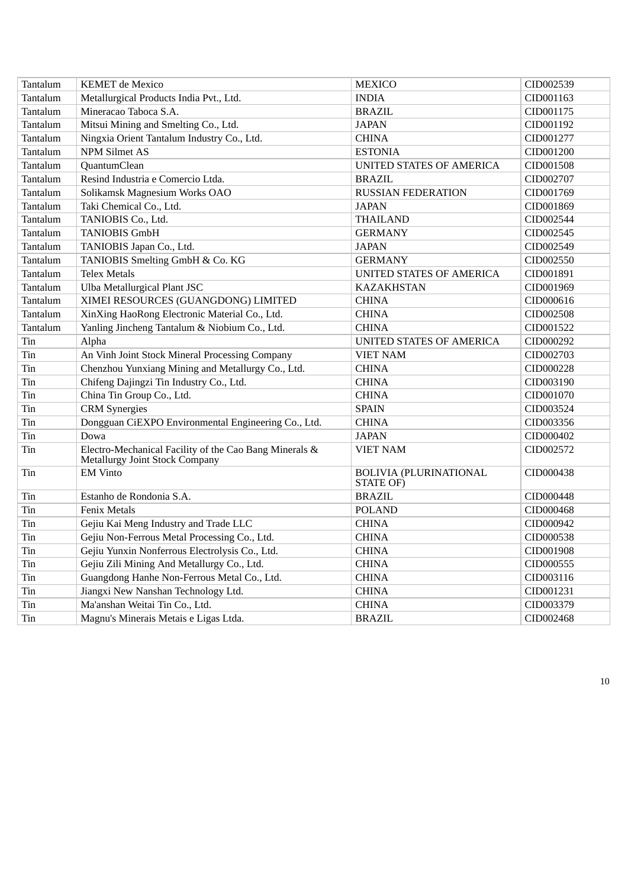| Tantalum | <b>KEMET</b> de Mexico                                                                   | <b>MEXICO</b>                              | CID002539 |
|----------|------------------------------------------------------------------------------------------|--------------------------------------------|-----------|
| Tantalum | Metallurgical Products India Pvt., Ltd.                                                  | <b>INDIA</b>                               | CID001163 |
| Tantalum | Mineracao Taboca S.A.                                                                    | <b>BRAZIL</b>                              | CID001175 |
| Tantalum | Mitsui Mining and Smelting Co., Ltd.                                                     | <b>JAPAN</b>                               | CID001192 |
| Tantalum | Ningxia Orient Tantalum Industry Co., Ltd.                                               | <b>CHINA</b>                               | CID001277 |
| Tantalum | <b>NPM Silmet AS</b>                                                                     | <b>ESTONIA</b>                             | CID001200 |
| Tantalum | QuantumClean                                                                             | UNITED STATES OF AMERICA                   | CID001508 |
| Tantalum | Resind Industria e Comercio Ltda.                                                        | <b>BRAZIL</b>                              | CID002707 |
| Tantalum | Solikamsk Magnesium Works OAO                                                            | <b>RUSSIAN FEDERATION</b>                  | CID001769 |
| Tantalum | Taki Chemical Co., Ltd.                                                                  | <b>JAPAN</b>                               | CID001869 |
| Tantalum | TANIOBIS Co., Ltd.                                                                       | <b>THAILAND</b>                            | CID002544 |
| Tantalum | <b>TANIOBIS GmbH</b>                                                                     | <b>GERMANY</b>                             | CID002545 |
| Tantalum | TANIOBIS Japan Co., Ltd.                                                                 | <b>JAPAN</b>                               | CID002549 |
| Tantalum | TANIOBIS Smelting GmbH & Co. KG                                                          | <b>GERMANY</b>                             | CID002550 |
| Tantalum | <b>Telex Metals</b>                                                                      | UNITED STATES OF AMERICA                   | CID001891 |
| Tantalum | Ulba Metallurgical Plant JSC                                                             | <b>KAZAKHSTAN</b>                          | CID001969 |
| Tantalum | XIMEI RESOURCES (GUANGDONG) LIMITED                                                      | <b>CHINA</b>                               | CID000616 |
| Tantalum | XinXing HaoRong Electronic Material Co., Ltd.                                            | <b>CHINA</b>                               | CID002508 |
| Tantalum | Yanling Jincheng Tantalum & Niobium Co., Ltd.                                            | <b>CHINA</b>                               | CID001522 |
| Tin      | Alpha                                                                                    | UNITED STATES OF AMERICA                   | CID000292 |
| Tin      | An Vinh Joint Stock Mineral Processing Company                                           | <b>VIET NAM</b>                            | CID002703 |
| Tin      | Chenzhou Yunxiang Mining and Metallurgy Co., Ltd.                                        | <b>CHINA</b>                               | CID000228 |
| Tin      | Chifeng Dajingzi Tin Industry Co., Ltd.                                                  | <b>CHINA</b>                               | CID003190 |
| Tin      | China Tin Group Co., Ltd.                                                                | <b>CHINA</b>                               | CID001070 |
| Tin      | <b>CRM</b> Synergies                                                                     | <b>SPAIN</b>                               | CID003524 |
| Tin      | Dongguan CiEXPO Environmental Engineering Co., Ltd.                                      | <b>CHINA</b>                               | CID003356 |
| Tin      | Dowa                                                                                     | <b>JAPAN</b>                               | CID000402 |
| Tin      | Electro-Mechanical Facility of the Cao Bang Minerals &<br>Metallurgy Joint Stock Company | <b>VIET NAM</b>                            | CID002572 |
| Tin      | <b>EM Vinto</b>                                                                          | <b>BOLIVIA (PLURINATIONAL</b><br>STATE OF) | CID000438 |
| Tin      | Estanho de Rondonia S.A.                                                                 | <b>BRAZIL</b>                              | CID000448 |
| Tin      | Fenix Metals                                                                             | <b>POLAND</b>                              | CID000468 |
| Tin      | Gejiu Kai Meng Industry and Trade LLC                                                    | <b>CHINA</b>                               | CID000942 |
| Tin      | Gejiu Non-Ferrous Metal Processing Co., Ltd.                                             | <b>CHINA</b>                               | CID000538 |
| Tin      | Gejiu Yunxin Nonferrous Electrolysis Co., Ltd.                                           | <b>CHINA</b>                               | CID001908 |
| Tin      | Gejiu Zili Mining And Metallurgy Co., Ltd.                                               | <b>CHINA</b>                               | CID000555 |
| Tin      | Guangdong Hanhe Non-Ferrous Metal Co., Ltd.                                              | <b>CHINA</b>                               | CID003116 |
| Tin      | Jiangxi New Nanshan Technology Ltd.                                                      | <b>CHINA</b>                               | CID001231 |
| Tin      | Ma'anshan Weitai Tin Co., Ltd.                                                           | <b>CHINA</b>                               | CID003379 |
| Tin      | Magnu's Minerais Metais e Ligas Ltda.                                                    | <b>BRAZIL</b>                              | CID002468 |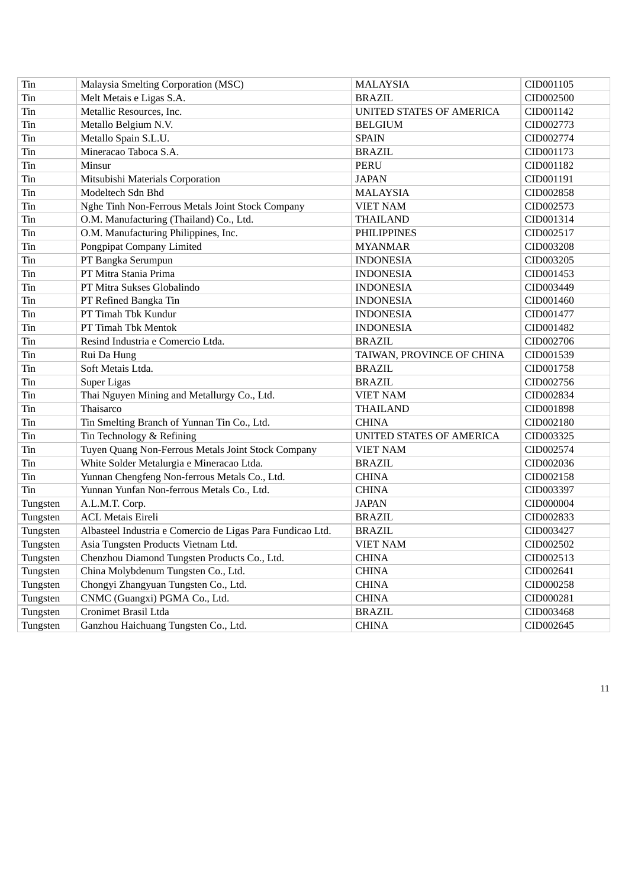| Tin      | Malaysia Smelting Corporation (MSC)                        | <b>MALAYSIA</b>           | CID001105 |
|----------|------------------------------------------------------------|---------------------------|-----------|
| Tin      | Melt Metais e Ligas S.A.                                   | <b>BRAZIL</b>             | CID002500 |
| Tin      | Metallic Resources, Inc.                                   | UNITED STATES OF AMERICA  | CID001142 |
| Tin      | Metallo Belgium N.V.                                       | <b>BELGIUM</b>            | CID002773 |
| Tin      | Metallo Spain S.L.U.                                       | <b>SPAIN</b>              | CID002774 |
| Tin      | Mineracao Taboca S.A.                                      | <b>BRAZIL</b>             | CID001173 |
| Tin      | Minsur                                                     | <b>PERU</b>               | CID001182 |
| Tin      | Mitsubishi Materials Corporation                           | <b>JAPAN</b>              | CID001191 |
| Tin      | Modeltech Sdn Bhd                                          | <b>MALAYSIA</b>           | CID002858 |
| Tin      | Nghe Tinh Non-Ferrous Metals Joint Stock Company           | <b>VIET NAM</b>           | CID002573 |
| Tin      | O.M. Manufacturing (Thailand) Co., Ltd.                    | <b>THAILAND</b>           | CID001314 |
| Tin      | O.M. Manufacturing Philippines, Inc.                       | <b>PHILIPPINES</b>        | CID002517 |
| Tin      | Pongpipat Company Limited                                  | <b>MYANMAR</b>            | CID003208 |
| Tin      | PT Bangka Serumpun                                         | <b>INDONESIA</b>          | CID003205 |
| Tin      | PT Mitra Stania Prima                                      | <b>INDONESIA</b>          | CID001453 |
| Tin      | PT Mitra Sukses Globalindo                                 | <b>INDONESIA</b>          | CID003449 |
| Tin      | PT Refined Bangka Tin                                      | <b>INDONESIA</b>          | CID001460 |
| Tin      | PT Timah Tbk Kundur                                        | <b>INDONESIA</b>          | CID001477 |
| Tin      | PT Timah Tbk Mentok                                        | <b>INDONESIA</b>          | CID001482 |
| Tin      | Resind Industria e Comercio Ltda.                          | <b>BRAZIL</b>             | CID002706 |
| Tin      | Rui Da Hung                                                | TAIWAN, PROVINCE OF CHINA | CID001539 |
| Tin      | Soft Metais Ltda.                                          | <b>BRAZIL</b>             | CID001758 |
| Tin      | Super Ligas                                                | <b>BRAZIL</b>             | CID002756 |
| Tin      | Thai Nguyen Mining and Metallurgy Co., Ltd.                | <b>VIET NAM</b>           | CID002834 |
| Tin      | Thaisarco                                                  | <b>THAILAND</b>           | CID001898 |
| Tin      | Tin Smelting Branch of Yunnan Tin Co., Ltd.                | <b>CHINA</b>              | CID002180 |
| Tin      | Tin Technology & Refining                                  | UNITED STATES OF AMERICA  | CID003325 |
| Tin      | Tuyen Quang Non-Ferrous Metals Joint Stock Company         | <b>VIET NAM</b>           | CID002574 |
| Tin      | White Solder Metalurgia e Mineracao Ltda.                  | <b>BRAZIL</b>             | CID002036 |
| Tin      | Yunnan Chengfeng Non-ferrous Metals Co., Ltd.              | <b>CHINA</b>              | CID002158 |
| Tin      | Yunnan Yunfan Non-ferrous Metals Co., Ltd.                 | <b>CHINA</b>              | CID003397 |
| Tungsten | A.L.M.T. Corp.                                             | <b>JAPAN</b>              | CID000004 |
| Tungsten | <b>ACL Metais Eireli</b>                                   | <b>BRAZIL</b>             | CID002833 |
| Tungsten | Albasteel Industria e Comercio de Ligas Para Fundicao Ltd. | <b>BRAZIL</b>             | CID003427 |
| Tungsten | Asia Tungsten Products Vietnam Ltd.                        | VIET NAM                  | CID002502 |
| Tungsten | Chenzhou Diamond Tungsten Products Co., Ltd.               | <b>CHINA</b>              | CID002513 |
| Tungsten | China Molybdenum Tungsten Co., Ltd.                        | <b>CHINA</b>              | CID002641 |
| Tungsten | Chongyi Zhangyuan Tungsten Co., Ltd.                       | <b>CHINA</b>              | CID000258 |
| Tungsten | CNMC (Guangxi) PGMA Co., Ltd.                              | <b>CHINA</b>              | CID000281 |
| Tungsten | Cronimet Brasil Ltda                                       | <b>BRAZIL</b>             | CID003468 |
| Tungsten | Ganzhou Haichuang Tungsten Co., Ltd.                       | <b>CHINA</b>              | CID002645 |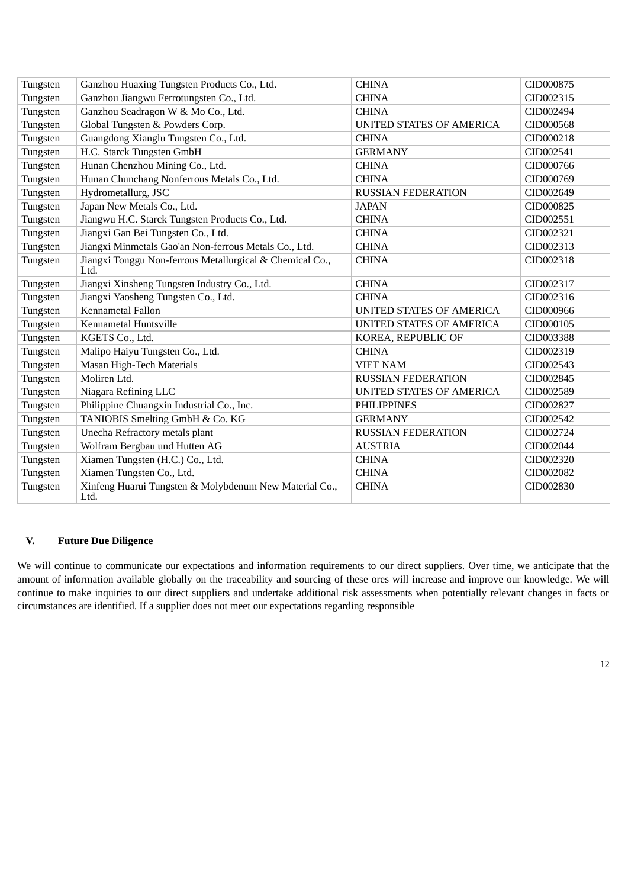| Tungsten | Ganzhou Huaxing Tungsten Products Co., Ltd.                      | <b>CHINA</b>              | CID000875 |
|----------|------------------------------------------------------------------|---------------------------|-----------|
| Tungsten | Ganzhou Jiangwu Ferrotungsten Co., Ltd.                          | <b>CHINA</b>              | CID002315 |
| Tungsten | Ganzhou Seadragon W & Mo Co., Ltd.                               | <b>CHINA</b>              | CID002494 |
| Tungsten | Global Tungsten & Powders Corp.                                  | UNITED STATES OF AMERICA  | CID000568 |
| Tungsten | Guangdong Xianglu Tungsten Co., Ltd.                             | <b>CHINA</b>              | CID000218 |
| Tungsten | H.C. Starck Tungsten GmbH                                        | <b>GERMANY</b>            | CID002541 |
| Tungsten | Hunan Chenzhou Mining Co., Ltd.                                  | <b>CHINA</b>              | CID000766 |
| Tungsten | Hunan Chunchang Nonferrous Metals Co., Ltd.                      | <b>CHINA</b>              | CID000769 |
| Tungsten | Hydrometallurg, JSC                                              | <b>RUSSIAN FEDERATION</b> | CID002649 |
| Tungsten | Japan New Metals Co., Ltd.                                       | <b>JAPAN</b>              | CID000825 |
| Tungsten | Jiangwu H.C. Starck Tungsten Products Co., Ltd.                  | <b>CHINA</b>              | CID002551 |
| Tungsten | Jiangxi Gan Bei Tungsten Co., Ltd.                               | <b>CHINA</b>              | CID002321 |
| Tungsten | Jiangxi Minmetals Gao'an Non-ferrous Metals Co., Ltd.            | <b>CHINA</b>              | CID002313 |
| Tungsten | Jiangxi Tonggu Non-ferrous Metallurgical & Chemical Co.,<br>Ltd. | <b>CHINA</b>              | CID002318 |
| Tungsten | Jiangxi Xinsheng Tungsten Industry Co., Ltd.                     | <b>CHINA</b>              | CID002317 |
| Tungsten | Jiangxi Yaosheng Tungsten Co., Ltd.                              | <b>CHINA</b>              | CID002316 |
| Tungsten | <b>Kennametal Fallon</b>                                         | UNITED STATES OF AMERICA  | CID000966 |
| Tungsten | Kennametal Huntsville                                            | UNITED STATES OF AMERICA  | CID000105 |
| Tungsten | KGETS Co., Ltd.                                                  | KOREA, REPUBLIC OF        | CID003388 |
| Tungsten | Malipo Haiyu Tungsten Co., Ltd.                                  | <b>CHINA</b>              | CID002319 |
| Tungsten | Masan High-Tech Materials                                        | <b>VIET NAM</b>           | CID002543 |
| Tungsten | Moliren Ltd.                                                     | <b>RUSSIAN FEDERATION</b> | CID002845 |
| Tungsten | Niagara Refining LLC                                             | UNITED STATES OF AMERICA  | CID002589 |
| Tungsten | Philippine Chuangxin Industrial Co., Inc.                        | <b>PHILIPPINES</b>        | CID002827 |
| Tungsten | TANIOBIS Smelting GmbH & Co. KG                                  | <b>GERMANY</b>            | CID002542 |
| Tungsten | Unecha Refractory metals plant                                   | <b>RUSSIAN FEDERATION</b> | CID002724 |
| Tungsten | Wolfram Bergbau und Hutten AG                                    | <b>AUSTRIA</b>            | CID002044 |
| Tungsten | Xiamen Tungsten (H.C.) Co., Ltd.                                 | <b>CHINA</b>              | CID002320 |
| Tungsten | Xiamen Tungsten Co., Ltd.                                        | <b>CHINA</b>              | CID002082 |
| Tungsten | Xinfeng Huarui Tungsten & Molybdenum New Material Co.,<br>Ltd.   | <b>CHINA</b>              | CID002830 |

# **V. Future Due Diligence**

We will continue to communicate our expectations and information requirements to our direct suppliers. Over time, we anticipate that the amount of information available globally on the traceability and sourcing of these ores will increase and improve our knowledge. We will continue to make inquiries to our direct suppliers and undertake additional risk assessments when potentially relevant changes in facts or circumstances are identified. If a supplier does not meet our expectations regarding responsible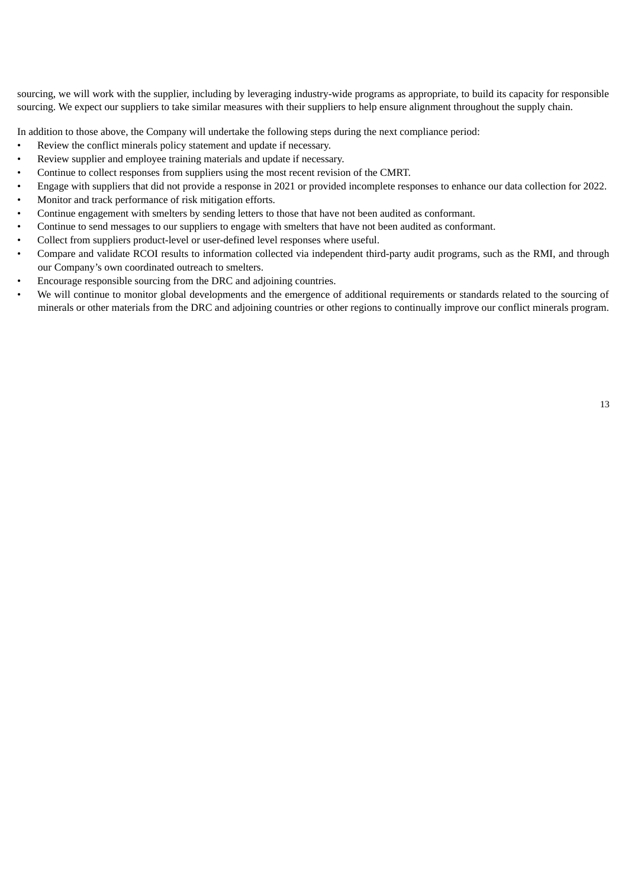sourcing, we will work with the supplier, including by leveraging industry-wide programs as appropriate, to build its capacity for responsible sourcing. We expect our suppliers to take similar measures with their suppliers to help ensure alignment throughout the supply chain.

In addition to those above, the Company will undertake the following steps during the next compliance period:

- Review the conflict minerals policy statement and update if necessary.
- Review supplier and employee training materials and update if necessary.
- Continue to collect responses from suppliers using the most recent revision of the CMRT.
- Engage with suppliers that did not provide a response in 2021 or provided incomplete responses to enhance our data collection for 2022.
- Monitor and track performance of risk mitigation efforts.
- Continue engagement with smelters by sending letters to those that have not been audited as conformant.
- Continue to send messages to our suppliers to engage with smelters that have not been audited as conformant.
- Collect from suppliers product-level or user-defined level responses where useful.
- Compare and validate RCOI results to information collected via independent third-party audit programs, such as the RMI, and through our Company's own coordinated outreach to smelters.
- Encourage responsible sourcing from the DRC and adjoining countries.
- We will continue to monitor global developments and the emergence of additional requirements or standards related to the sourcing of minerals or other materials from the DRC and adjoining countries or other regions to continually improve our conflict minerals program.